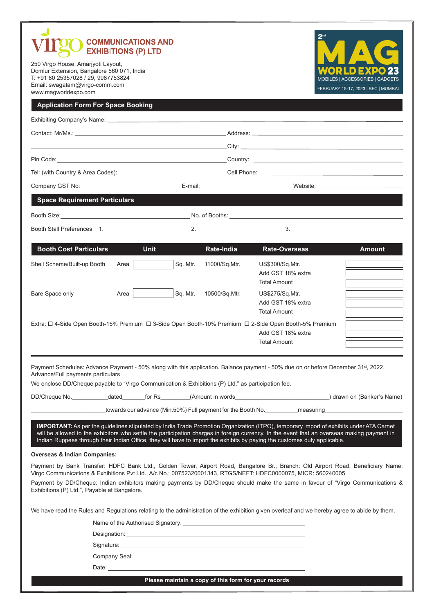| <b>COMMUNICATIONS AND</b><br><b>EXHIBITIONS (P) LTD</b>                                                                                                                           |                                                                                                                                                                                                                                     |                                                                                                                                                                                                                                      |               |                                                                                                                                                                                                                                                                                                                                                                                                                     |                                                                        |
|-----------------------------------------------------------------------------------------------------------------------------------------------------------------------------------|-------------------------------------------------------------------------------------------------------------------------------------------------------------------------------------------------------------------------------------|--------------------------------------------------------------------------------------------------------------------------------------------------------------------------------------------------------------------------------------|---------------|---------------------------------------------------------------------------------------------------------------------------------------------------------------------------------------------------------------------------------------------------------------------------------------------------------------------------------------------------------------------------------------------------------------------|------------------------------------------------------------------------|
| 250 Virgo House, Amarjyoti Layout,<br>Domlur Extension, Bangalore 560 071, India<br>T: +91 80 25357028 / 29, 9987753824<br>Email: swagatam@virgo-comm.com<br>www.magworldexpo.com |                                                                                                                                                                                                                                     |                                                                                                                                                                                                                                      |               |                                                                                                                                                                                                                                                                                                                                                                                                                     | MOBILES   ACCESSORIES   GADGETS<br>FEBRUARY 15-17, 2023   BEC   MUMBAI |
| <b>Application Form For Space Booking</b>                                                                                                                                         |                                                                                                                                                                                                                                     |                                                                                                                                                                                                                                      |               |                                                                                                                                                                                                                                                                                                                                                                                                                     |                                                                        |
|                                                                                                                                                                                   |                                                                                                                                                                                                                                     |                                                                                                                                                                                                                                      |               |                                                                                                                                                                                                                                                                                                                                                                                                                     |                                                                        |
|                                                                                                                                                                                   |                                                                                                                                                                                                                                     |                                                                                                                                                                                                                                      |               |                                                                                                                                                                                                                                                                                                                                                                                                                     |                                                                        |
|                                                                                                                                                                                   |                                                                                                                                                                                                                                     |                                                                                                                                                                                                                                      |               | $C$ ity: $C$ ity: $C$ ity: $C$                                                                                                                                                                                                                                                                                                                                                                                      |                                                                        |
|                                                                                                                                                                                   |                                                                                                                                                                                                                                     |                                                                                                                                                                                                                                      |               |                                                                                                                                                                                                                                                                                                                                                                                                                     |                                                                        |
|                                                                                                                                                                                   | Tel: (with Country & Area Codes):__________________________________Cell Phone: _____________________                                                                                                                                |                                                                                                                                                                                                                                      |               |                                                                                                                                                                                                                                                                                                                                                                                                                     |                                                                        |
|                                                                                                                                                                                   |                                                                                                                                                                                                                                     |                                                                                                                                                                                                                                      |               |                                                                                                                                                                                                                                                                                                                                                                                                                     |                                                                        |
| <b>Space Requirement Particulars</b>                                                                                                                                              |                                                                                                                                                                                                                                     |                                                                                                                                                                                                                                      |               |                                                                                                                                                                                                                                                                                                                                                                                                                     |                                                                        |
|                                                                                                                                                                                   |                                                                                                                                                                                                                                     |                                                                                                                                                                                                                                      |               |                                                                                                                                                                                                                                                                                                                                                                                                                     |                                                                        |
|                                                                                                                                                                                   |                                                                                                                                                                                                                                     |                                                                                                                                                                                                                                      |               |                                                                                                                                                                                                                                                                                                                                                                                                                     |                                                                        |
|                                                                                                                                                                                   |                                                                                                                                                                                                                                     |                                                                                                                                                                                                                                      |               |                                                                                                                                                                                                                                                                                                                                                                                                                     |                                                                        |
| <b>Booth Cost Particulars</b>                                                                                                                                                     | <b>Unit</b>                                                                                                                                                                                                                         |                                                                                                                                                                                                                                      | Rate-India    | <b>Rate-Overseas</b>                                                                                                                                                                                                                                                                                                                                                                                                | <b>Amount</b>                                                          |
| Shell Scheme/Built-up Booth                                                                                                                                                       | Area                                                                                                                                                                                                                                | Sq. Mtr.                                                                                                                                                                                                                             | 11000/Sq.Mtr. | US\$300/Sq.Mtr.<br>Add GST 18% extra<br><b>Total Amount</b>                                                                                                                                                                                                                                                                                                                                                         |                                                                        |
| Bare Space only                                                                                                                                                                   | Area                                                                                                                                                                                                                                | Sq. Mtr.                                                                                                                                                                                                                             | 10500/Sq.Mtr. | US\$275/Sq.Mtr.<br>Add GST 18% extra<br><b>Total Amount</b>                                                                                                                                                                                                                                                                                                                                                         |                                                                        |
|                                                                                                                                                                                   |                                                                                                                                                                                                                                     |                                                                                                                                                                                                                                      |               | Extra: □ 4-Side Open Booth-15% Premium □ 3-Side Open Booth-10% Premium □ 2-Side Open Booth-5% Premium<br>Add GST 18% extra<br><b>Total Amount</b>                                                                                                                                                                                                                                                                   |                                                                        |
| Advance/Full payments particulars<br>We enclose DD/Cheque payable to "Virgo Communication & Exhibitions (P) Ltd." as participation fee.                                           |                                                                                                                                                                                                                                     |                                                                                                                                                                                                                                      |               | Payment Schedules: Advance Payment - 50% along with this application. Balance payment - 50% due on or before December 31 <sup>st</sup> , 2022.                                                                                                                                                                                                                                                                      |                                                                        |
|                                                                                                                                                                                   |                                                                                                                                                                                                                                     |                                                                                                                                                                                                                                      |               | DD/Cheque No. ____________dated________for Rs_________(Amount in words______________________________) drawn on (Banker's Name)                                                                                                                                                                                                                                                                                      |                                                                        |
|                                                                                                                                                                                   |                                                                                                                                                                                                                                     |                                                                                                                                                                                                                                      |               |                                                                                                                                                                                                                                                                                                                                                                                                                     |                                                                        |
| <b>Overseas &amp; Indian Companies:</b>                                                                                                                                           |                                                                                                                                                                                                                                     |                                                                                                                                                                                                                                      |               | IMPORTANT: As per the guidelines stipulated by India Trade Promotion Organization (ITPO), temporary import of exhibits under ATA Carnet<br>will be allowed to the exhibitors who settle the participation charges in foreign currency. In the event that an overseas making payment in<br>Indian Ruppees through their Indian Office, they will have to import the exhibits by paying the customes duly applicable. |                                                                        |
|                                                                                                                                                                                   |                                                                                                                                                                                                                                     |                                                                                                                                                                                                                                      |               | Payment by Bank Transfer: HDFC Bank Ltd., Golden Tower, Airport Road, Bangalore Br., Branch: Old Airport Road, Beneficiary Name:                                                                                                                                                                                                                                                                                    |                                                                        |
| Exhibitions (P) Ltd.", Payable at Bangalore.                                                                                                                                      |                                                                                                                                                                                                                                     |                                                                                                                                                                                                                                      |               | Virgo Communications & Exhibitions Pvt Ltd., A/c No.: 00752320001343, RTGS/NEFT: HDFC0000075, MICR: 560240005<br>Payment by DD/Cheque: Indian exhibitors making payments by DD/Cheque should make the same in favour of "Virgo Communications &                                                                                                                                                                     |                                                                        |
|                                                                                                                                                                                   |                                                                                                                                                                                                                                     |                                                                                                                                                                                                                                      |               |                                                                                                                                                                                                                                                                                                                                                                                                                     |                                                                        |
|                                                                                                                                                                                   |                                                                                                                                                                                                                                     |                                                                                                                                                                                                                                      |               | We have read the Rules and Regulations relating to the administration of the exhibition given overleaf and we hereby agree to abide by them.                                                                                                                                                                                                                                                                        |                                                                        |
|                                                                                                                                                                                   | Designation: <b>Example 2018</b> The Contract of the Contract of the Contract of the Contract of the Contract of the Contract of the Contract of the Contract of the Contract of the Contract of the Contract of the Contract of th |                                                                                                                                                                                                                                      |               |                                                                                                                                                                                                                                                                                                                                                                                                                     |                                                                        |
|                                                                                                                                                                                   |                                                                                                                                                                                                                                     |                                                                                                                                                                                                                                      |               |                                                                                                                                                                                                                                                                                                                                                                                                                     |                                                                        |
|                                                                                                                                                                                   |                                                                                                                                                                                                                                     |                                                                                                                                                                                                                                      |               |                                                                                                                                                                                                                                                                                                                                                                                                                     |                                                                        |
|                                                                                                                                                                                   |                                                                                                                                                                                                                                     | Date: <u>experimental and the second contract of the second contract of the second contract of the second contract of the second contract of the second contract of the second contract of the second contract of the second con</u> |               |                                                                                                                                                                                                                                                                                                                                                                                                                     |                                                                        |

**Please maintain a copy of this form for your records**